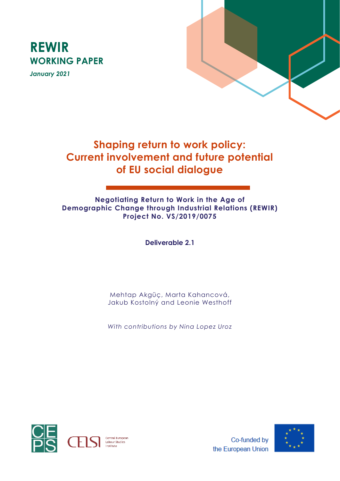



# **Shaping return to work policy: Current involvement and future potential of EU social dialogue**

# **Negotiating Return to Work in the Age of Demographic Change through Industrial Relations (REWIR) Project No. VS/2019/0075**

**Deliverable 2.1**

Mehtap Akgüç, Marta Kahancová, Jakub Kostolný and Leonie Westhoff

*With contributions by Nina Lopez Uroz* 





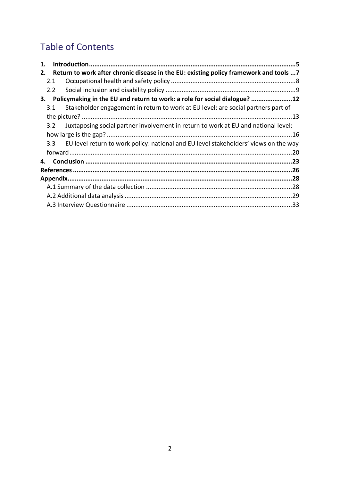# Table of Contents

| 1. |               |                                                                                          |  |
|----|---------------|------------------------------------------------------------------------------------------|--|
| 2. |               | Return to work after chronic disease in the EU: existing policy framework and tools  7   |  |
|    | 2.1           |                                                                                          |  |
|    | $2.2^{\circ}$ |                                                                                          |  |
|    |               | 3. Policymaking in the EU and return to work: a role for social dialogue? 12             |  |
|    | 3.1           | Stakeholder engagement in return to work at EU level: are social partners part of        |  |
|    |               |                                                                                          |  |
|    | 3.2           | Juxtaposing social partner involvement in return to work at EU and national level:       |  |
|    |               |                                                                                          |  |
|    |               | 3.3 EU level return to work policy: national and EU level stakeholders' views on the way |  |
|    |               |                                                                                          |  |
|    |               |                                                                                          |  |
|    |               |                                                                                          |  |
|    |               |                                                                                          |  |
|    |               |                                                                                          |  |
|    |               |                                                                                          |  |
|    |               |                                                                                          |  |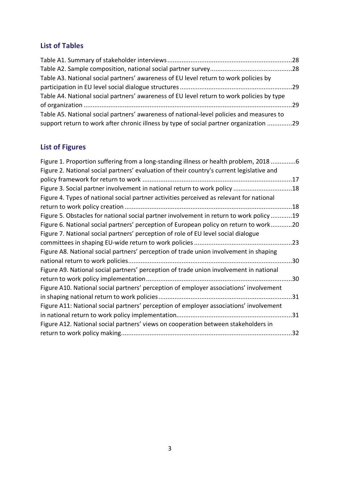# **List of Tables**

| Table A3. National social partners' awareness of EU level return to work policies by      |  |
|-------------------------------------------------------------------------------------------|--|
|                                                                                           |  |
| Table A4. National social partners' awareness of EU level return to work policies by type |  |
|                                                                                           |  |
| Table A5. National social partners' awareness of national-level policies and measures to  |  |
| support return to work after chronic illness by type of social partner organization 29    |  |

# **List of Figures**

| Figure 1. Proportion suffering from a long-standing illness or health problem, 20186      |     |
|-------------------------------------------------------------------------------------------|-----|
| Figure 2. National social partners' evaluation of their country's current legislative and |     |
|                                                                                           |     |
| Figure 3. Social partner involvement in national return to work policy 18                 |     |
| Figure 4. Types of national social partner activities perceived as relevant for national  |     |
|                                                                                           | .18 |
| Figure 5. Obstacles for national social partner involvement in return to work policy 19   |     |
| Figure 6. National social partners' perception of European policy on return to work20     |     |
| Figure 7. National social partners' perception of role of EU level social dialogue        |     |
|                                                                                           |     |
| Figure A8. National social partners' perception of trade union involvement in shaping     |     |
|                                                                                           | .30 |
| Figure A9. National social partners' perception of trade union involvement in national    |     |
|                                                                                           | 30  |
| Figure A10. National social partners' perception of employer associations' involvement    |     |
|                                                                                           |     |
| Figure A11: National social partners' perception of employer associations' involvement    |     |
|                                                                                           |     |
| Figure A12. National social partners' views on cooperation between stakeholders in        |     |
|                                                                                           |     |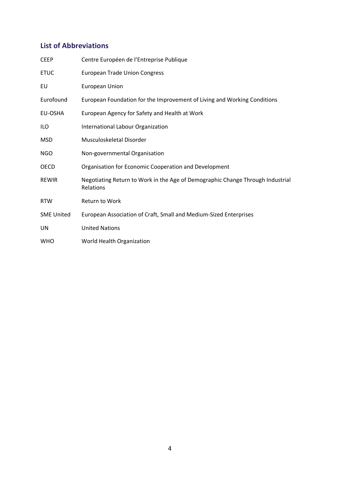# **List of Abbreviations**

| <b>CEEP</b>       | Centre Européen de l'Entreprise Publique                                                    |
|-------------------|---------------------------------------------------------------------------------------------|
| <b>ETUC</b>       | <b>European Trade Union Congress</b>                                                        |
| EU                | <b>European Union</b>                                                                       |
| Eurofound         | European Foundation for the Improvement of Living and Working Conditions                    |
| EU-OSHA           | European Agency for Safety and Health at Work                                               |
| ILO.              | International Labour Organization                                                           |
| <b>MSD</b>        | Musculoskeletal Disorder                                                                    |
| <b>NGO</b>        | Non-governmental Organisation                                                               |
| <b>OECD</b>       | Organisation for Economic Cooperation and Development                                       |
| <b>REWIR</b>      | Negotiating Return to Work in the Age of Demographic Change Through Industrial<br>Relations |
| <b>RTW</b>        | <b>Return to Work</b>                                                                       |
| <b>SME United</b> | European Association of Craft, Small and Medium-Sized Enterprises                           |
| UN                | <b>United Nations</b>                                                                       |
| <b>WHO</b>        | World Health Organization                                                                   |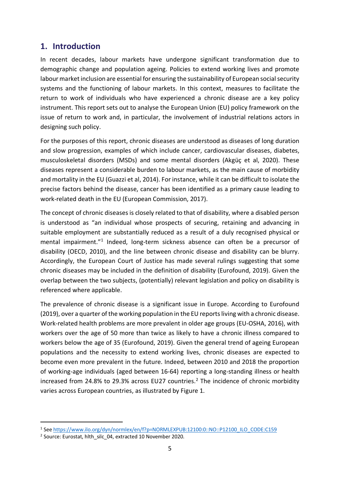# <span id="page-4-0"></span>**1. Introduction**

In recent decades, labour markets have undergone significant transformation due to demographic change and population ageing. Policies to extend working lives and promote labour market inclusion are essential for ensuring the sustainability of European social security systems and the functioning of labour markets. In this context, measures to facilitate the return to work of individuals who have experienced a chronic disease are a key policy instrument. This report sets out to analyse the European Union (EU) policy framework on the issue of return to work and, in particular, the involvement of industrial relations actors in designing such policy.

For the purposes of this report, chronic diseases are understood as diseases of long duration and slow progression, examples of which include cancer, cardiovascular diseases, diabetes, musculoskeletal disorders (MSDs) and some mental disorders (Akgüç et al, 2020). These diseases represent a considerable burden to labour markets, as the main cause of morbidity and mortality in the EU (Guazzi et al, 2014). For instance, while it can be difficult to isolate the precise factors behind the disease, cancer has been identified as a primary cause leading to work-related death in the EU (European Commission, 2017).

The concept of chronic diseases is closely related to that of disability, where a disabled person is understood as "an individual whose prospects of securing, retaining and advancing in suitable employment are substantially reduced as a result of a duly recognised physical or mental impairment."[1](#page-4-1) Indeed, long-term sickness absence can often be a precursor of disability (OECD, 2010), and the line between chronic disease and disability can be blurry. Accordingly, the European Court of Justice has made several rulings suggesting that some chronic diseases may be included in the definition of disability (Eurofound, 2019). Given the overlap between the two subjects, (potentially) relevant legislation and policy on disability is referenced where applicable.

The prevalence of chronic disease is a significant issue in Europe. According to Eurofound (2019), over a quarter of the working population in the EU reports living with a chronic disease. Work-related health problems are more prevalent in older age groups (EU-OSHA, 2016), with workers over the age of 50 more than twice as likely to have a chronic illness compared to workers below the age of 35 (Eurofound, 2019). Given the general trend of ageing European populations and the necessity to extend working lives, chronic diseases are expected to become even more prevalent in the future. Indeed, between 2010 and 2018 the proportion of working-age individuals (aged between 16-64) reporting a long-standing illness or health increased from [2](#page-4-2)4.8% to 29.3% across EU27 countries.<sup>2</sup> The incidence of chronic morbidity varies across European countries, as illustrated by [Figure 1.](#page-5-0)

<span id="page-4-1"></span><sup>1</sup> Se[e https://www.ilo.org/dyn/normlex/en/f?p=NORMLEXPUB:12100:0::NO::P12100\\_ILO\\_CODE:C159](https://www.ilo.org/dyn/normlex/en/f?p=NORMLEXPUB:12100:0::NO::P12100_ILO_CODE:C159)

<span id="page-4-2"></span><sup>2</sup> Source: Eurostat, hlth\_silc\_04, extracted 10 November 2020.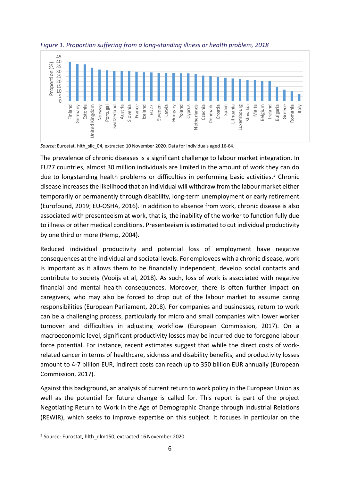

<span id="page-5-0"></span>*Figure 1. Proportion suffering from a long-standing illness or health problem, 2018*

*Source*: Eurostat, hlth\_silc\_04, extracted 10 November 2020. Data for individuals aged 16-64.

The prevalence of chronic diseases is a significant challenge to labour market integration. In EU27 countries, almost 30 million individuals are limited in the amount of work they can do due to longstanding health problems or difficulties in performing basic activities.<sup>[3](#page-5-1)</sup> Chronic disease increases the likelihood that an individual will withdraw from the labour market either temporarily or permanently through disability, long-term unemployment or early retirement (Eurofound, 2019; EU-OSHA, 2016). In addition to absence from work, chronic disease is also associated with presenteeism at work, that is, the inability of the worker to function fully due to illness or other medical conditions. Presenteeism is estimated to cut individual productivity by one third or more (Hemp, 2004).

Reduced individual productivity and potential loss of employment have negative consequences at the individual and societal levels. For employees with a chronic disease, work is important as it allows them to be financially independent, develop social contacts and contribute to society (Vooijs et al, 2018). As such, loss of work is associated with negative financial and mental health consequences. Moreover, there is often further impact on caregivers, who may also be forced to drop out of the labour market to assume caring responsibilities (European Parliament, 2018). For companies and businesses, return to work can be a challenging process, particularly for micro and small companies with lower worker turnover and difficulties in adjusting workflow (European Commission, 2017). On a macroeconomic level, significant productivity losses may be incurred due to foregone labour force potential. For instance, recent estimates suggest that while the direct costs of workrelated cancer in terms of healthcare, sickness and disability benefits, and productivity losses amount to 4-7 billion EUR, indirect costs can reach up to 350 billion EUR annually (European Commission, 2017).

Against this background, an analysis of current return to work policy in the European Union as well as the potential for future change is called for. This report is part of the project Negotiating Return to Work in the Age of Demographic Change through Industrial Relations (REWIR), which seeks to improve expertise on this subject. It focuses in particular on the

<span id="page-5-1"></span><sup>&</sup>lt;sup>3</sup> Source: Eurostat, hlth\_dlm150, extracted 16 November 2020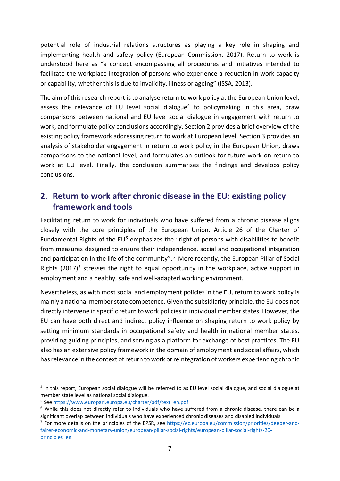potential role of industrial relations structures as playing a key role in shaping and implementing health and safety policy (European Commission, 2017). Return to work is understood here as "a concept encompassing all procedures and initiatives intended to facilitate the workplace integration of persons who experience a reduction in work capacity or capability, whether this is due to invalidity, illness or ageing" (ISSA, 2013).

The aim of this research report is to analyse return to work policy at the European Union level, assess the relevance of EU level social dialogue<sup>[4](#page-6-1)</sup> to policymaking in this area, draw comparisons between national and EU level social dialogue in engagement with return to work, and formulate policy conclusions accordingly. Section 2 provides a brief overview of the existing policy framework addressing return to work at European level. Section 3 provides an analysis of stakeholder engagement in return to work policy in the European Union, draws comparisons to the national level, and formulates an outlook for future work on return to work at EU level. Finally, the conclusion summarises the findings and develops policy conclusions.

# <span id="page-6-0"></span>**2. Return to work after chronic disease in the EU: existing policy framework and tools**

Facilitating return to work for individuals who have suffered from a chronic disease aligns closely with the core principles of the European Union. Article 26 of the Charter of Fundamental Rights of the EU*[5](#page-6-2)* emphasizes the "right of persons with disabilities to benefit from measures designed to ensure their independence, social and occupational integration and participation in the life of the community".<sup>[6](#page-6-3)</sup> More recently, the European Pillar of Social Rights  $(2017)^7$  $(2017)^7$  $(2017)^7$  stresses the right to equal opportunity in the workplace, active support in employment and a healthy, safe and well-adapted working environment.

Nevertheless, as with most social and employment policies in the EU, return to work policy is mainly a national member state competence. Given the subsidiarity principle, the EU does not directly intervene in specific return to work policies in individual member states. However, the EU can have both direct and indirect policy influence on shaping return to work policy by setting minimum standards in occupational safety and health in national member states, providing guiding principles, and serving as a platform for exchange of best practices. The EU also has an extensive policy framework in the domain of employment and social affairs, which has relevance in the context of return to work or reintegration of workers experiencing chronic

<span id="page-6-1"></span><sup>4</sup> In this report, European social dialogue will be referred to as EU level social dialogue, and social dialogue at member state level as national social dialogue.

<span id="page-6-2"></span><sup>5</sup> Se[e https://www.europarl.europa.eu/charter/pdf/text\\_en.pdf](https://www.europarl.europa.eu/charter/pdf/text_en.pdf)

<span id="page-6-3"></span><sup>6</sup> While this does not directly refer to individuals who have suffered from a chronic disease, there can be a significant overlap between individuals who have experienced chronic diseases and disabled individuals.

<span id="page-6-4"></span><sup>&</sup>lt;sup>7</sup> For more details on the principles of the EPSR, see [https://ec.europa.eu/commission/priorities/deeper-and](https://ec.europa.eu/commission/priorities/deeper-and-fairer-economic-and-monetary-union/european-pillar-social-rights/european-pillar-social-rights-20-principles_en)[fairer-economic-and-monetary-union/european-pillar-social-rights/european-pillar-social-rights-20](https://ec.europa.eu/commission/priorities/deeper-and-fairer-economic-and-monetary-union/european-pillar-social-rights/european-pillar-social-rights-20-principles_en) [principles\\_en](https://ec.europa.eu/commission/priorities/deeper-and-fairer-economic-and-monetary-union/european-pillar-social-rights/european-pillar-social-rights-20-principles_en)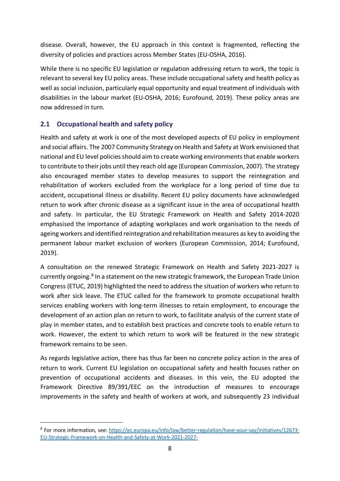disease. Overall, however, the EU approach in this context is fragmented, reflecting the diversity of policies and practices across Member States (EU-OSHA, 2016).

While there is no specific EU legislation or regulation addressing return to work, the topic is relevant to several key EU policy areas. These include occupational safety and health policy as well as social inclusion, particularly equal opportunity and equal treatment of individuals with disabilities in the labour market (EU-OSHA, 2016; Eurofound, 2019). These policy areas are now addressed in turn.

# <span id="page-7-0"></span>**2.1 Occupational health and safety policy**

Health and safety at work is one of the most developed aspects of EU policy in employment and social affairs. The 2007 Community Strategy on Health and Safety at Work envisioned that national and EU level policies should aim to create working environments that enable workers to contribute to their jobs until they reach old age (European Commission, 2007). The strategy also encouraged member states to develop measures to support the reintegration and rehabilitation of workers excluded from the workplace for a long period of time due to accident, occupational illness or disability. Recent EU policy documents have acknowledged return to work after chronic disease as a significant issue in the area of occupational health and safety. In particular, the EU Strategic Framework on Health and Safety 2014-2020 emphasised the importance of adapting workplaces and work organisation to the needs of ageing workers and identified reintegration and rehabilitation measures as key to avoiding the permanent labour market exclusion of workers (European Commission, 2014; Eurofound, 2019).

A consultation on the renewed Strategic Framework on Health and Safety 2021-2027 is currently ongoing.<sup>[8](#page-7-1)</sup> In a statement on the new strategic framework, the European Trade Union Congress (ETUC, 2019) highlighted the need to address the situation of workers who return to work after sick leave. The ETUC called for the framework to promote occupational health services enabling workers with long-term illnesses to retain employment, to encourage the development of an action plan on return to work, to facilitate analysis of the current state of play in member states, and to establish best practices and concrete tools to enable return to work. However, the extent to which return to work will be featured in the new strategic framework remains to be seen.

As regards legislative action, there has thus far been no concrete policy action in the area of return to work. Current EU legislation on occupational safety and health focuses rather on prevention of occupational accidents and diseases. In this vein, the EU adopted the Framework Directive 89/391/EEC on the introduction of measures to encourage improvements in the safety and health of workers at work, and subsequently 23 individual

<span id="page-7-1"></span><sup>8</sup> For more information, see: [https://ec.europa.eu/info/law/better-regulation/have-your-say/initiatives/12673-](https://ec.europa.eu/info/law/better-regulation/have-your-say/initiatives/12673-EU-Strategic-Framework-on-Health-and-Safety-at-Work-2021-2027-) [EU-Strategic-Framework-on-Health-and-Safety-at-Work-2021-2027-](https://ec.europa.eu/info/law/better-regulation/have-your-say/initiatives/12673-EU-Strategic-Framework-on-Health-and-Safety-at-Work-2021-2027-)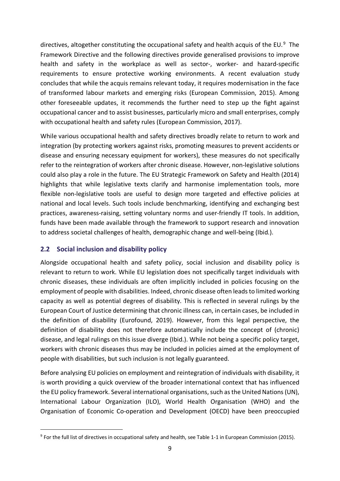directives, altogether constituting the occupational safety and health acquis of the EU. $9$  The Framework Directive and the following directives provide generalised provisions to improve health and safety in the workplace as well as sector-, worker- and hazard-specific requirements to ensure protective working environments. A recent evaluation study concludes that while the acquis remains relevant today, it requires modernisation in the face of transformed labour markets and emerging risks (European Commission, 2015). Among other foreseeable updates, it recommends the further need to step up the fight against occupational cancer and to assist businesses, particularly micro and small enterprises, comply with occupational health and safety rules (European Commission, 2017).

While various occupational health and safety directives broadly relate to return to work and integration (by protecting workers against risks, promoting measures to prevent accidents or disease and ensuring necessary equipment for workers), these measures do not specifically refer to the reintegration of workers after chronic disease. However, non-legislative solutions could also play a role in the future. The EU Strategic Framework on Safety and Health (2014) highlights that while legislative texts clarify and harmonise implementation tools, more flexible non-legislative tools are useful to design more targeted and effective policies at national and local levels. Such tools include benchmarking, identifying and exchanging best practices, awareness-raising, setting voluntary norms and user-friendly IT tools. In addition, funds have been made available through the framework to support research and innovation to address societal challenges of health, demographic change and well-being (Ibid.).

### <span id="page-8-0"></span>**2.2 Social inclusion and disability policy**

Alongside occupational health and safety policy, social inclusion and disability policy is relevant to return to work. While EU legislation does not specifically target individuals with chronic diseases, these individuals are often implicitly included in policies focusing on the employment of people with disabilities. Indeed, chronic disease often leadsto limited working capacity as well as potential degrees of disability. This is reflected in several rulings by the European Court of Justice determining that chronic illness can, in certain cases, be included in the definition of disability (Eurofound, 2019). However, from this legal perspective, the definition of disability does not therefore automatically include the concept of (chronic) disease, and legal rulings on this issue diverge (Ibid.). While not being a specific policy target, workers with chronic diseases thus may be included in policies aimed at the employment of people with disabilities, but such inclusion is not legally guaranteed.

Before analysing EU policies on employment and reintegration of individuals with disability, it is worth providing a quick overview of the broader international context that has influenced the EU policy framework. Several international organisations, such as the United Nations (UN), International Labour Organization (ILO), World Health Organisation (WHO) and the Organisation of Economic Co-operation and Development (OECD) have been preoccupied

<span id="page-8-1"></span><sup>&</sup>lt;sup>9</sup> For the full list of directives in occupational safety and health, see Table 1-1 in European Commission (2015).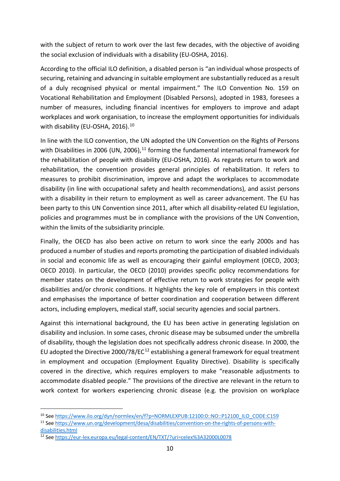with the subject of return to work over the last few decades, with the objective of avoiding the social exclusion of individuals with a disability (EU-OSHA, 2016).

According to the official ILO definition, a disabled person is "an individual whose prospects of securing, retaining and advancing in suitable employment are substantially reduced as a result of a duly recognised physical or mental impairment." The ILO Convention No. 159 on Vocational Rehabilitation and Employment (Disabled Persons), adopted in 1983, foresees a number of measures, including financial incentives for employers to improve and adapt workplaces and work organisation, to increase the employment opportunities for individuals with disability (EU-OSHA, 2016).<sup>[10](#page-9-0)</sup>

In line with the ILO convention, the UN adopted the UN Convention on the Rights of Persons with Disabilities in 2006 (UN, 2006),<sup>[11](#page-9-1)</sup> forming the fundamental international framework for the rehabilitation of people with disability (EU-OSHA, 2016). As regards return to work and rehabilitation, the convention provides general principles of rehabilitation. It refers to measures to prohibit discrimination, improve and adapt the workplaces to accommodate disability (in line with occupational safety and health recommendations), and assist persons with a disability in their return to employment as well as career advancement. The EU has been party to this UN Convention since 2011, after which all disability-related EU legislation, policies and programmes must be in compliance with the provisions of the UN Convention, within the limits of the subsidiarity principle.

Finally, the OECD has also been active on return to work since the early 2000s and has produced a number of studies and reports promoting the participation of disabled individuals in social and economic life as well as encouraging their gainful employment (OECD, 2003; OECD 2010). In particular, the OECD (2010) provides specific policy recommendations for member states on the development of effective return to work strategies for people with disabilities and/or chronic conditions. It highlights the key role of employers in this context and emphasises the importance of better coordination and cooperation between different actors, including employers, medical staff, social security agencies and social partners.

Against this international background, the EU has been active in generating legislation on disability and inclusion. In some cases, chronic disease may be subsumed under the umbrella of disability, though the legislation does not specifically address chronic disease. In 2000, the EU adopted the Directive 2000/78/EC<sup>[12](#page-9-2)</sup> establishing a general framework for equal treatment in employment and occupation (Employment Equality Directive). Disability is specifically covered in the directive, which requires employers to make "reasonable adjustments to accommodate disabled people." The provisions of the directive are relevant in the return to work context for workers experiencing chronic disease (e.g. the provision on workplace

<span id="page-9-0"></span><sup>&</sup>lt;sup>10</sup> Se[e https://www.ilo.org/dyn/normlex/en/f?p=NORMLEXPUB:12100:0::NO::P12100\\_ILO\\_CODE:C159](https://www.ilo.org/dyn/normlex/en/f?p=NORMLEXPUB:12100:0::NO::P12100_ILO_CODE:C159)

<span id="page-9-1"></span><sup>11</sup> Se[e https://www.un.org/development/desa/disabilities/convention-on-the-rights-of-persons-with](https://www.un.org/development/desa/disabilities/convention-on-the-rights-of-persons-with-disabilities.html)[disabilities.html](https://www.un.org/development/desa/disabilities/convention-on-the-rights-of-persons-with-disabilities.html)

<span id="page-9-2"></span><sup>12</sup> Se[e https://eur-lex.europa.eu/legal-content/EN/TXT/?uri=celex%3A32000L0078](https://eur-lex.europa.eu/legal-content/EN/TXT/?uri=celex%3A32000L0078)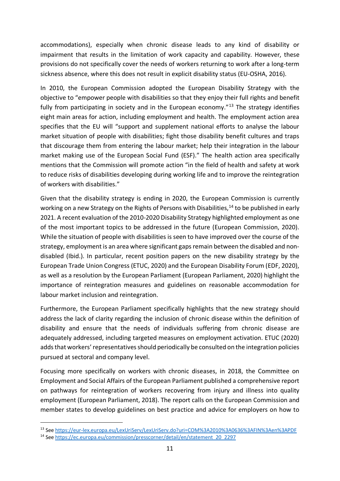accommodations), especially when chronic disease leads to any kind of disability or impairment that results in the limitation of work capacity and capability. However, these provisions do not specifically cover the needs of workers returning to work after a long-term sickness absence, where this does not result in explicit disability status (EU-OSHA, 2016).

In 2010, the European Commission adopted the European Disability Strategy with the objective to "empower people with disabilities so that they enjoy their full rights and benefit fully from participating in society and in the European economy.<sup> $n_{13}$  $n_{13}$  $n_{13}$ </sup> The strategy identifies eight main areas for action, including employment and health. The employment action area specifies that the EU will "support and supplement national efforts to analyse the labour market situation of people with disabilities; fight those disability benefit cultures and traps that discourage them from entering the labour market; help their integration in the labour market making use of the European Social Fund (ESF)." The health action area specifically mentions that the Commission will promote action "in the field of health and safety at work to reduce risks of disabilities developing during working life and to improve the reintegration of workers with disabilities."

Given that the disability strategy is ending in 2020, the European Commission is currently working on a new Strategy on the Rights of Persons with Disabilities,<sup>[14](#page-10-1)</sup> to be published in early 2021. A recent evaluation of the 2010-2020 Disability Strategy highlighted employment as one of the most important topics to be addressed in the future (European Commission, 2020). While the situation of people with disabilities is seen to have improved over the course of the strategy, employment is an area where significant gaps remain between the disabled and nondisabled (Ibid.). In particular, recent position papers on the new disability strategy by the European Trade Union Congress (ETUC, 2020) and the European Disability Forum (EDF, 2020), as well as a resolution by the European Parliament (European Parliament, 2020) highlight the importance of reintegration measures and guidelines on reasonable accommodation for labour market inclusion and reintegration.

Furthermore, the European Parliament specifically highlights that the new strategy should address the lack of clarity regarding the inclusion of chronic disease within the definition of disability and ensure that the needs of individuals suffering from chronic disease are adequately addressed, including targeted measures on employment activation. ETUC (2020) adds that workers' representatives should periodically be consulted on the integration policies pursued at sectoral and company level.

Focusing more specifically on workers with chronic diseases, in 2018, the Committee on Employment and Social Affairs of the European Parliament published a comprehensive report on pathways for reintegration of workers recovering from injury and illness into quality employment (European Parliament, 2018). The report calls on the European Commission and member states to develop guidelines on best practice and advice for employers on how to

<span id="page-10-0"></span><sup>13</sup> See <https://eur-lex.europa.eu/LexUriServ/LexUriServ.do?uri=COM%3A2010%3A0636%3AFIN%3Aen%3APDF>

<span id="page-10-1"></span><sup>14</sup> Se[e https://ec.europa.eu/commission/presscorner/detail/en/statement\\_20\\_2297](https://ec.europa.eu/commission/presscorner/detail/en/statement_20_2297)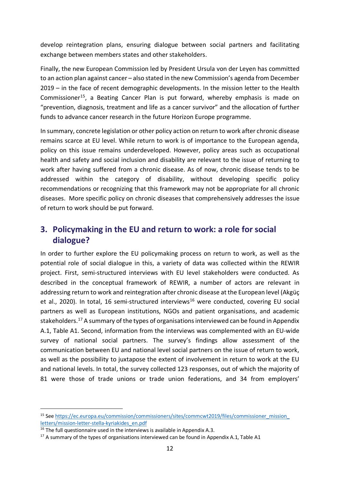develop reintegration plans, ensuring dialogue between social partners and facilitating exchange between members states and other stakeholders.

Finally, the new European Commission led by President Ursula von der Leyen has committed to an action plan against cancer – also stated in the new Commission's agenda from December 2019 – in the face of recent demographic developments. In the mission letter to the Health Commissioner<sup>[15](#page-11-1)</sup>, a Beating Cancer Plan is put forward, whereby emphasis is made on "prevention, diagnosis, treatment and life as a cancer survivor" and the allocation of further funds to advance cancer research in the future Horizon Europe programme.

In summary, concrete legislation or other policy action on return to work after chronic disease remains scarce at EU level. While return to work is of importance to the European agenda, policy on this issue remains underdeveloped. However, policy areas such as occupational health and safety and social inclusion and disability are relevant to the issue of returning to work after having suffered from a chronic disease. As of now, chronic disease tends to be addressed within the category of disability, without developing specific policy recommendations or recognizing that this framework may not be appropriate for all chronic diseases. More specific policy on chronic diseases that comprehensively addresses the issue of return to work should be put forward.

# <span id="page-11-0"></span>**3. Policymaking in the EU and return to work: a role for social dialogue?**

In order to further explore the EU policymaking process on return to work, as well as the potential role of social dialogue in this, a variety of data was collected within the REWIR project. First, semi-structured interviews with EU level stakeholders were conducted. As described in the conceptual framework of REWIR, a number of actors are relevant in addressing return to work and reintegration after chronic disease at the European level (Akgüç et al., 2020). In total, [16](#page-11-2) semi-structured interviews<sup>16</sup> were conducted, covering EU social partners as well as European institutions, NGOs and patient organisations, and academic stakeholders. [17](#page-11-3) A summary of the types of organisations interviewed can be found in Appendix A.1, Table A1. Second, information from the interviews was complemented with an EU-wide survey of national social partners. The survey's findings allow assessment of the communication between EU and national level social partners on the issue of return to work, as well as the possibility to juxtapose the extent of involvement in return to work at the EU and national levels. In total, the survey collected 123 responses, out of which the majority of 81 were those of trade unions or trade union federations, and 34 from employers'

<span id="page-11-1"></span><sup>15</sup> Se[e https://ec.europa.eu/commission/commissioners/sites/commcwt2019/files/commissioner\\_mission\\_](https://ec.europa.eu/commission/commissioners/sites/commcwt2019/files/commissioner_mission_%0bletters/mission-letter-stella-kyriakides_en.pdf) [letters/mission-letter-stella-kyriakides\\_en.pdf](https://ec.europa.eu/commission/commissioners/sites/commcwt2019/files/commissioner_mission_%0bletters/mission-letter-stella-kyriakides_en.pdf)

<span id="page-11-2"></span> $16$  The full questionnaire used in the interviews is available in Appendix A.3.

<span id="page-11-3"></span> $17$  A summary of the types of organisations interviewed can be found in Appendix A.1, Table A1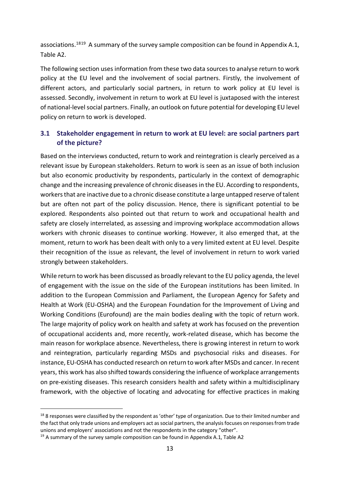associations.<sup>[18](#page-12-1)[19](#page-12-2)</sup> A summary of the survey sample composition can be found in Appendix A.1, Table A2.

The following section uses information from these two data sources to analyse return to work policy at the EU level and the involvement of social partners. Firstly, the involvement of different actors, and particularly social partners, in return to work policy at EU level is assessed. Secondly, involvement in return to work at EU level is juxtaposed with the interest of national-level social partners. Finally, an outlook on future potential for developing EU level policy on return to work is developed.

# <span id="page-12-0"></span>**3.1 Stakeholder engagement in return to work at EU level: are social partners part of the picture?**

Based on the interviews conducted, return to work and reintegration is clearly perceived as a relevant issue by European stakeholders. Return to work is seen as an issue of both inclusion but also economic productivity by respondents, particularly in the context of demographic change and the increasing prevalence of chronic diseases in the EU. According to respondents, workers that are inactive due to a chronic disease constitute a large untapped reserve of talent but are often not part of the policy discussion. Hence, there is significant potential to be explored. Respondents also pointed out that return to work and occupational health and safety are closely interrelated, as assessing and improving workplace accommodation allows workers with chronic diseases to continue working. However, it also emerged that, at the moment, return to work has been dealt with only to a very limited extent at EU level. Despite their recognition of the issue as relevant, the level of involvement in return to work varied strongly between stakeholders.

While return to work has been discussed as broadly relevant to the EU policy agenda, the level of engagement with the issue on the side of the European institutions has been limited. In addition to the European Commission and Parliament, the European Agency for Safety and Health at Work (EU-OSHA) and the European Foundation for the Improvement of Living and Working Conditions (Eurofound) are the main bodies dealing with the topic of return work. The large majority of policy work on health and safety at work has focused on the prevention of occupational accidents and, more recently, work-related disease, which has become the main reason for workplace absence. Nevertheless, there is growing interest in return to work and reintegration, particularly regarding MSDs and psychosocial risks and diseases. For instance, EU-OSHA has conducted research on return to work after MSDs and cancer. In recent years, this work has also shifted towards considering the influence of workplace arrangements on pre-existing diseases. This research considers health and safety within a multidisciplinary framework, with the objective of locating and advocating for effective practices in making

<span id="page-12-1"></span><sup>&</sup>lt;sup>18</sup> 8 responses were classified by the respondent as 'other' type of organization. Due to their limited number and the fact that only trade unions and employers act as social partners, the analysis focuses on responses from trade unions and employers' associations and not the respondents in the category "other".

<span id="page-12-2"></span> $19$  A summary of the survey sample composition can be found in Appendix A.1, Table A2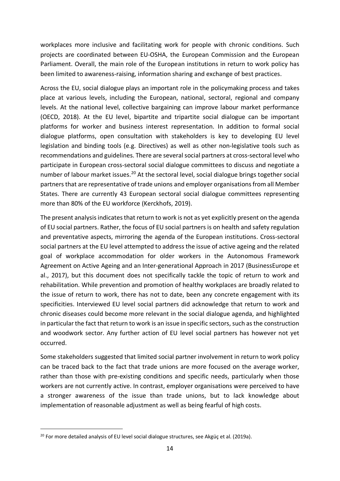workplaces more inclusive and facilitating work for people with chronic conditions. Such projects are coordinated between EU-OSHA, the European Commission and the European Parliament. Overall, the main role of the European institutions in return to work policy has been limited to awareness-raising, information sharing and exchange of best practices.

Across the EU, social dialogue plays an important role in the policymaking process and takes place at various levels, including the European, national, sectoral, regional and company levels. At the national level, collective bargaining can improve labour market performance (OECD, 2018). At the EU level, bipartite and tripartite social dialogue can be important platforms for worker and business interest representation. In addition to formal social dialogue platforms, open consultation with stakeholders is key to developing EU level legislation and binding tools (e.g. Directives) as well as other non-legislative tools such as recommendations and guidelines. There are several social partners at cross-sectoral level who participate in European cross-sectoral social dialogue committees to discuss and negotiate a number of labour market issues.<sup>[20](#page-13-0)</sup> At the sectoral level, social dialogue brings together social partners that are representative of trade unions and employer organisations from all Member States. There are currently 43 European sectoral social dialogue committees representing more than 80% of the EU workforce (Kerckhofs, 2019).

The present analysis indicates that return to work is not as yet explicitly present on the agenda of EU social partners. Rather, the focus of EU social partners is on health and safety regulation and preventative aspects, mirroring the agenda of the European institutions. Cross-sectoral social partners at the EU level attempted to address the issue of active ageing and the related goal of workplace accommodation for older workers in the Autonomous Framework Agreement on Active Ageing and an Inter-generational Approach in 2017 (BusinessEurope et al., 2017), but this document does not specifically tackle the topic of return to work and rehabilitation. While prevention and promotion of healthy workplaces are broadly related to the issue of return to work, there has not to date, been any concrete engagement with its specificities. Interviewed EU level social partners did acknowledge that return to work and chronic diseases could become more relevant in the social dialogue agenda, and highlighted in particular the fact that return to work is an issue in specific sectors, such as the construction and woodwork sector. Any further action of EU level social partners has however not yet occurred.

Some stakeholders suggested that limited social partner involvement in return to work policy can be traced back to the fact that trade unions are more focused on the average worker, rather than those with pre-existing conditions and specific needs, particularly when those workers are not currently active. In contrast, employer organisations were perceived to have a stronger awareness of the issue than trade unions, but to lack knowledge about implementation of reasonable adjustment as well as being fearful of high costs.

<span id="page-13-0"></span><sup>&</sup>lt;sup>20</sup> For more detailed analysis of EU level social dialogue structures, see Akgüç et al. (2019a).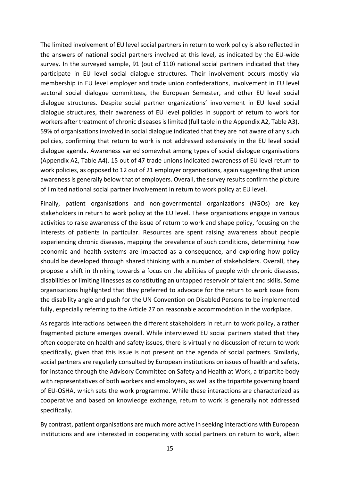The limited involvement of EU level social partners in return to work policy is also reflected in the answers of national social partners involved at this level, as indicated by the EU-wide survey. In the surveyed sample, 91 (out of 110) national social partners indicated that they participate in EU level social dialogue structures. Their involvement occurs mostly via membership in EU level employer and trade union confederations, involvement in EU level sectoral social dialogue committees, the European Semester, and other EU level social dialogue structures. Despite social partner organizations' involvement in EU level social dialogue structures, their awareness of EU level policies in support of return to work for workers after treatment of chronic diseases is limited (full table in the Appendix A2, Table A3). 59% of organisations involved in social dialogue indicated that they are not aware of any such policies, confirming that return to work is not addressed extensively in the EU level social dialogue agenda. Awareness varied somewhat among types of social dialogue organisations (Appendix A2, Table A4). 15 out of 47 trade unions indicated awareness of EU level return to work policies, as opposed to 12 out of 21 employer organisations, again suggesting that union awareness is generally below that of employers. Overall, the survey results confirm the picture of limited national social partner involvement in return to work policy at EU level.

Finally, patient organisations and non-governmental organizations (NGOs) are key stakeholders in return to work policy at the EU level. These organisations engage in various activities to raise awareness of the issue of return to work and shape policy, focusing on the interests of patients in particular. Resources are spent raising awareness about people experiencing chronic diseases, mapping the prevalence of such conditions, determining how economic and health systems are impacted as a consequence, and exploring how policy should be developed through shared thinking with a number of stakeholders. Overall, they propose a shift in thinking towards a focus on the abilities of people with chronic diseases, disabilities or limiting illnesses as constituting an untapped reservoir of talent and skills. Some organisations highlighted that they preferred to advocate for the return to work issue from the disability angle and push for the UN Convention on Disabled Persons to be implemented fully, especially referring to the Article 27 on reasonable accommodation in the workplace.

As regards interactions between the different stakeholders in return to work policy, a rather fragmented picture emerges overall. While interviewed EU social partners stated that they often cooperate on health and safety issues, there is virtually no discussion of return to work specifically, given that this issue is not present on the agenda of social partners. Similarly, social partners are regularly consulted by European institutions on issues of health and safety, for instance through the Advisory Committee on Safety and Health at Work, a tripartite body with representatives of both workers and employers, as well as the tripartite governing board of EU-OSHA, which sets the work programme. While these interactions are characterized as cooperative and based on knowledge exchange, return to work is generally not addressed specifically.

By contrast, patient organisations are much more active in seeking interactions with European institutions and are interested in cooperating with social partners on return to work, albeit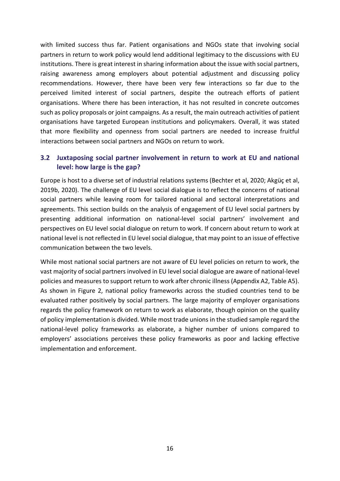with limited success thus far. Patient organisations and NGOs state that involving social partners in return to work policy would lend additional legitimacy to the discussions with EU institutions. There is great interest in sharing information about the issue with social partners, raising awareness among employers about potential adjustment and discussing policy recommendations. However, there have been very few interactions so far due to the perceived limited interest of social partners, despite the outreach efforts of patient organisations. Where there has been interaction, it has not resulted in concrete outcomes such as policy proposals or joint campaigns. As a result, the main outreach activities of patient organisations have targeted European institutions and policymakers. Overall, it was stated that more flexibility and openness from social partners are needed to increase fruitful interactions between social partners and NGOs on return to work.

# <span id="page-15-0"></span>**3.2 Juxtaposing social partner involvement in return to work at EU and national level: how large is the gap?**

Europe is host to a diverse set of industrial relations systems (Bechter et al, 2020; Akgüç et al, 2019b, 2020). The challenge of EU level social dialogue is to reflect the concerns of national social partners while leaving room for tailored national and sectoral interpretations and agreements. This section builds on the analysis of engagement of EU level social partners by presenting additional information on national-level social partners' involvement and perspectives on EU level social dialogue on return to work. If concern about return to work at national level is not reflected in EU level social dialogue, that may point to an issue of effective communication between the two levels.

While most national social partners are not aware of EU level policies on return to work, the vast majority of social partners involved in EU level social dialogue are aware of national-level policies and measures to support return to work after chronic illness (Appendix A2, Table A5). As shown in [Figure 2,](#page-16-0) national policy frameworks across the studied countries tend to be evaluated rather positively by social partners. The large majority of employer organisations regards the policy framework on return to work as elaborate, though opinion on the quality of policy implementation is divided. While most trade unions in the studied sample regard the national-level policy frameworks as elaborate, a higher number of unions compared to employers' associations perceives these policy frameworks as poor and lacking effective implementation and enforcement.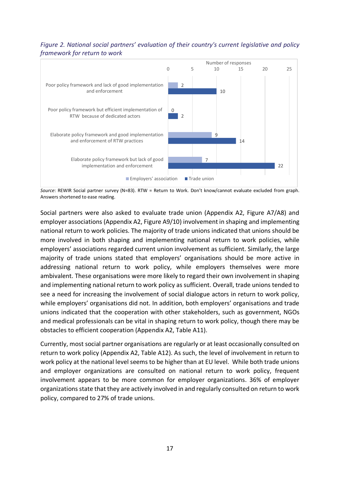#### <span id="page-16-0"></span>*Figure 2. National social partners' evaluation of their country's current legislative and policy framework for return to work*



*Source*: REWIR Social partner survey (N=83). RTW = Return to Work. Don't know/cannot evaluate excluded from graph. Answers shortened to ease reading.

Social partners were also asked to evaluate trade union (Appendix A2, Figure A7/A8) and employer associations (Appendix A2, Figure A9/10) involvement in shaping and implementing national return to work policies. The majority of trade unions indicated that unions should be more involved in both shaping and implementing national return to work policies, while employers' associations regarded current union involvement as sufficient. Similarly, the large majority of trade unions stated that employers' organisations should be more active in addressing national return to work policy, while employers themselves were more ambivalent. These organisations were more likely to regard their own involvement in shaping and implementing national return to work policy as sufficient. Overall, trade unions tended to see a need for increasing the involvement of social dialogue actors in return to work policy, while employers' organisations did not. In addition, both employers' organisations and trade unions indicated that the cooperation with other stakeholders, such as government, NGOs and medical professionals can be vital in shaping return to work policy, though there may be obstacles to efficient cooperation (Appendix A2, Table A11).

Currently, most social partner organisations are regularly or at least occasionally consulted on return to work policy (Appendix A2, Table A12). As such, the level of involvement in return to work policy at the national level seems to be higher than at EU level. While both trade unions and employer organizations are consulted on national return to work policy, frequent involvement appears to be more common for employer organizations. 36% of employer organizations state that they are actively involved in and regularly consulted on return to work policy, compared to 27% of trade unions.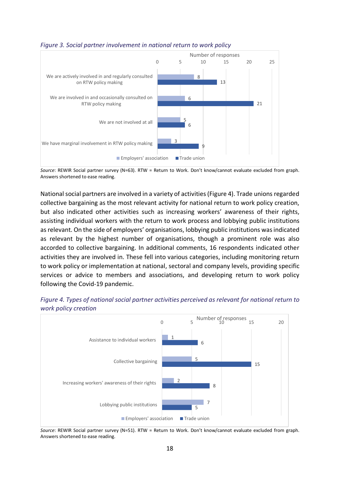

#### <span id="page-17-0"></span>*Figure 3. Social partner involvement in national return to work policy*

*Source*: REWIR Social partner survey (N=63). RTW = Return to Work. Don't know/cannot evaluate excluded from graph. Answers shortened to ease reading.

National social partners are involved in a variety of activities[\(Figure](#page-17-2) 4). Trade unions regarded collective bargaining as the most relevant activity for national return to work policy creation, but also indicated other activities such as increasing workers' awareness of their rights, assisting individual workers with the return to work process and lobbying public institutions as relevant. On the side of employers' organisations, lobbying public institutions was indicated as relevant by the highest number of organisations, though a prominent role was also accorded to collective bargaining. In additional comments, 16 respondents indicated other activities they are involved in. These fell into various categories, including monitoring return to work policy or implementation at national, sectoral and company levels, providing specific services or advice to members and associations, and developing return to work policy following the Covid-19 pandemic.



<span id="page-17-2"></span><span id="page-17-1"></span>*Figure 4. Types of national social partner activities perceived as relevant for national return to work policy creation* 

*Source*: REWIR Social partner survey (N=51). RTW = Return to Work. Don't know/cannot evaluate excluded from graph. Answers shortened to ease reading.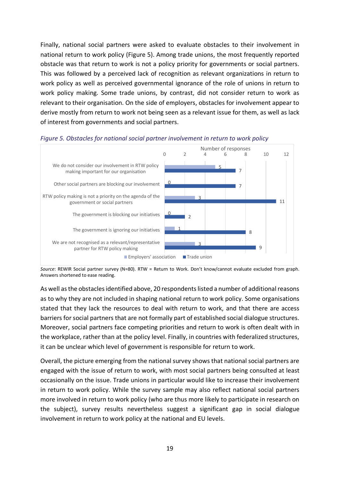Finally, national social partners were asked to evaluate obstacles to their involvement in national return to work policy [\(Figure 5\)](#page-18-0). Among trade unions, the most frequently reported obstacle was that return to work is not a policy priority for governments or social partners. This was followed by a perceived lack of recognition as relevant organizations in return to work policy as well as perceived governmental ignorance of the role of unions in return to work policy making. Some trade unions, by contrast, did not consider return to work as relevant to their organisation. On the side of employers, obstacles for involvement appear to derive mostly from return to work not being seen as a relevant issue for them, as well as lack of interest from governments and social partners.



<span id="page-18-0"></span>

*Source*: REWIR Social partner survey (N=80). RTW = Return to Work. Don't know/cannot evaluate excluded from graph. Answers shortened to ease reading.

As well asthe obstacles identified above, 20 respondents listed a number of additional reasons as to why they are not included in shaping national return to work policy. Some organisations stated that they lack the resources to deal with return to work, and that there are access barriers for social partners that are not formally part of established social dialogue structures. Moreover, social partners face competing priorities and return to work is often dealt with in the workplace, rather than at the policy level. Finally, in countries with federalized structures, it can be unclear which level of government is responsible for return to work.

Overall, the picture emerging from the national survey shows that national social partners are engaged with the issue of return to work, with most social partners being consulted at least occasionally on the issue. Trade unions in particular would like to increase their involvement in return to work policy. While the survey sample may also reflect national social partners more involved in return to work policy (who are thus more likely to participate in research on the subject), survey results nevertheless suggest a significant gap in social dialogue involvement in return to work policy at the national and EU levels.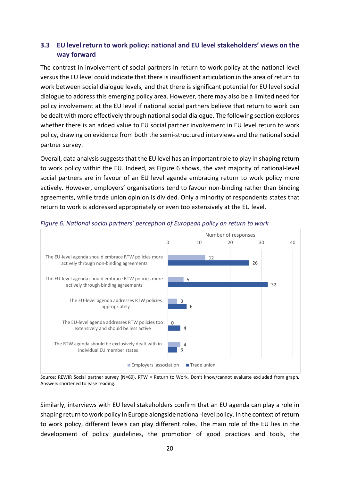# <span id="page-19-0"></span>**3.3 EU level return to work policy: national and EU levelstakeholders' views on the way forward**

The contrast in involvement of social partners in return to work policy at the national level versus the EU level could indicate that there is insufficient articulation in the area of return to work between social dialogue levels, and that there is significant potential for EU level social dialogue to address this emerging policy area. However, there may also be a limited need for policy involvement at the EU level if national social partners believe that return to work can be dealt with more effectively through national social dialogue. The following section explores whether there is an added value to EU social partner involvement in EU level return to work policy, drawing on evidence from both the semi-structured interviews and the national social partner survey.

Overall, data analysis suggests that the EU level has an important role to play in shaping return to work policy within the EU. Indeed, as [Figure 6](#page-19-1) shows, the vast majority of national-level social partners are in favour of an EU level agenda embracing return to work policy more actively. However, employers' organisations tend to favour non-binding rather than binding agreements, while trade union opinion is divided. Only a minority of respondents states that return to work is addressed appropriately or even too extensively at the EU level.



#### <span id="page-19-1"></span>*Figure 6. National social partners' perception of European policy on return to work*

Source: REWIR Social partner survey (N=69). RTW = Return to Work. Don't know/cannot evaluate excluded from graph. Answers shortened to ease reading.

Similarly, interviews with EU level stakeholders confirm that an EU agenda can play a role in shaping return to work policy in Europe alongside national-level policy. In the context of return to work policy, different levels can play different roles. The main role of the EU lies in the development of policy guidelines, the promotion of good practices and tools, the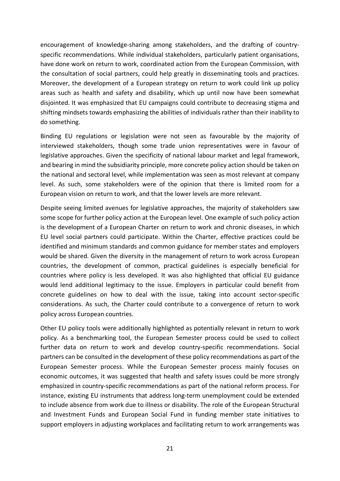encouragement of knowledge-sharing among stakeholders, and the drafting of countryspecific recommendations. While individual stakeholders, particularly patient organisations, have done work on return to work, coordinated action from the European Commission, with the consultation of social partners, could help greatly in disseminating tools and practices. Moreover, the development of a European strategy on return to work could link up policy areas such as health and safety and disability, which up until now have been somewhat disjointed. It was emphasized that EU campaigns could contribute to decreasing stigma and shifting mindsets towards emphasizing the abilities of individuals rather than their inability to do something.

Binding EU regulations or legislation were not seen as favourable by the majority of interviewed stakeholders, though some trade union representatives were in favour of legislative approaches. Given the specificity of national labour market and legal framework, and bearing in mind the subsidiarity principle, more concrete policy action should be taken on the national and sectoral level, while implementation was seen as most relevant at company level. As such, some stakeholders were of the opinion that there is limited room for a European vision on return to work, and that the lower levels are more relevant.

Despite seeing limited avenues for legislative approaches, the majority of stakeholders saw some scope for further policy action at the European level. One example of such policy action is the development of a European Charter on return to work and chronic diseases, in which EU level social partners could participate. Within the Charter, effective practices could be identified and minimum standards and common guidance for member states and employers would be shared. Given the diversity in the management of return to work across European countries, the development of common, practical guidelines is especially beneficial for countries where policy is less developed. It was also highlighted that official EU guidance would lend additional legitimacy to the issue. Employers in particular could benefit from concrete guidelines on how to deal with the issue, taking into account sector-specific considerations. As such, the Charter could contribute to a convergence of return to work policy across European countries.

Other EU policy tools were additionally highlighted as potentially relevant in return to work policy. As a benchmarking tool, the European Semester process could be used to collect further data on return to work and develop country-specific recommendations. Social partners can be consulted in the development of these policy recommendations as part of the European Semester process. While the European Semester process mainly focuses on economic outcomes, it was suggested that health and safety issues could be more strongly emphasized in country-specific recommendations as part of the national reform process. For instance, existing EU instruments that address long-term unemployment could be extended to include absence from work due to illness or disability. The role of the European Structural and Investment Funds and European Social Fund in funding member state initiatives to support employers in adjusting workplaces and facilitating return to work arrangements was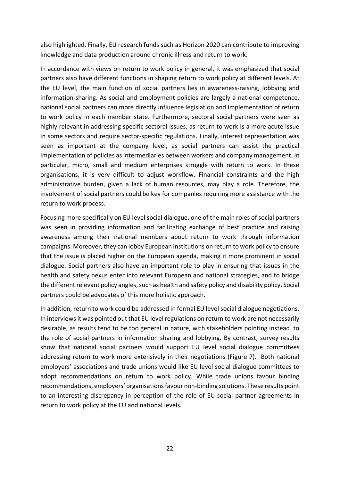also highlighted. Finally, EU research funds such as Horizon 2020 can contribute to improving knowledge and data production around chronic illness and return to work.

In accordance with views on return to work policy in general, it was emphasized that social partners also have different functions in shaping return to work policy at different levels. At the EU level, the main function of social partners lies in awareness-raising, lobbying and information-sharing. As social and employment policies are largely a national competence, national social partners can more directly influence legislation and implementation of return to work policy in each member state. Furthermore, sectoral social partners were seen as highly relevant in addressing specific sectoral issues, as return to work is a more acute issue in some sectors and require sector-specific regulations. Finally, interest representation was seen as important at the company level, as social partners can assist the practical implementation of policies as intermediaries between workers and company management. In particular, micro, small and medium enterprises struggle with return to work. In these organisations, it is very difficult to adjust workflow. Financial constraints and the high administrative burden, given a lack of human resources, may play a role. Therefore, the involvement of social partners could be key for companies requiring more assistance with the return to work process.

Focusing more specifically on EU level social dialogue, one of the main roles of social partners was seen in providing information and facilitating exchange of best practice and raising awareness among their national members about return to work through information campaigns. Moreover, they can lobby European institutions on return to work policy to ensure that the issue is placed higher on the European agenda, making it more prominent in social dialogue. Social partners also have an important role to play in ensuring that issues in the health and safety nexus enter into relevant European and national strategies, and to bridge the different relevant policy angles, such as health and safety policy and disability policy. Social partners could be advocates of this more holistic approach.

In addition, return to work could be addressed in formal EU level social dialogue negotiations. In interviews it was pointed out that EU level regulations on return to work are not necessarily desirable, as results tend to be too general in nature, with stakeholders pointing instead to the role of social partners in information sharing and lobbying. By contrast, survey results show that national social partners would support EU level social dialogue committees addressing return to work more extensively in their negotiations [\(Figure 7\)](#page-22-1). Both national employers' associations and trade unions would like EU level social dialogue committees to adopt recommendations on return to work policy. While trade unions favour binding recommendations, employers' organisations favour non-binding solutions. These results point to an interesting discrepancy in perception of the role of EU social partner agreements in return to work policy at the EU and national levels.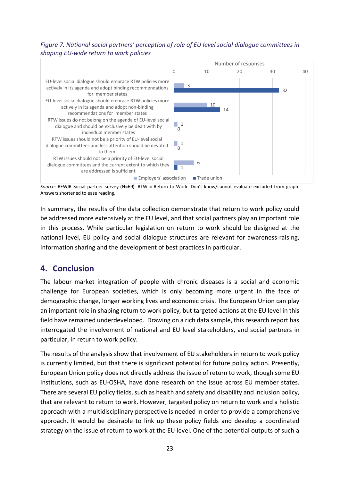#### <span id="page-22-1"></span>*Figure 7. National social partners' perception of role of EU level social dialogue committees in shaping EU-wide return to work policies*



*Source*: REWIR Social partner survey (N=69). RTW = Return to Work. Don't know/cannot evaluate excluded from graph. Answers shortened to ease reading.

In summary, the results of the data collection demonstrate that return to work policy could be addressed more extensively at the EU level, and that social partners play an important role in this process. While particular legislation on return to work should be designed at the national level, EU policy and social dialogue structures are relevant for awareness-raising, information sharing and the development of best practices in particular.

# <span id="page-22-0"></span>**4. Conclusion**

The labour market integration of people with chronic diseases is a social and economic challenge for European societies, which is only becoming more urgent in the face of demographic change, longer working lives and economic crisis. The European Union can play an important role in shaping return to work policy, but targeted actions at the EU level in this field have remained underdeveloped. Drawing on a rich data sample, this research report has interrogated the involvement of national and EU level stakeholders, and social partners in particular, in return to work policy.

The results of the analysis show that involvement of EU stakeholders in return to work policy is currently limited, but that there is significant potential for future policy action. Presently, European Union policy does not directly address the issue of return to work, though some EU institutions, such as EU-OSHA, have done research on the issue across EU member states. There are several EU policy fields, such as health and safety and disability and inclusion policy, that are relevant to return to work. However, targeted policy on return to work and a holistic approach with a multidisciplinary perspective is needed in order to provide a comprehensive approach. It would be desirable to link up these policy fields and develop a coordinated strategy on the issue of return to work at the EU level. One of the potential outputs of such a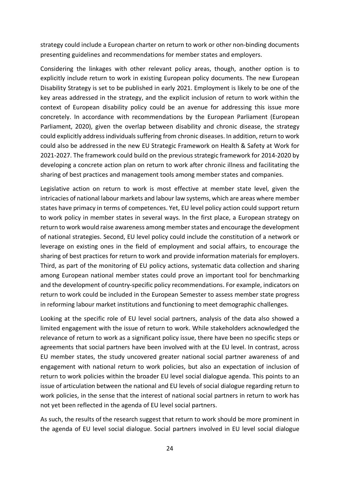strategy could include a European charter on return to work or other non-binding documents presenting guidelines and recommendations for member states and employers.

Considering the linkages with other relevant policy areas, though, another option is to explicitly include return to work in existing European policy documents. The new European Disability Strategy is set to be published in early 2021. Employment is likely to be one of the key areas addressed in the strategy, and the explicit inclusion of return to work within the context of European disability policy could be an avenue for addressing this issue more concretely. In accordance with recommendations by the European Parliament (European Parliament, 2020), given the overlap between disability and chronic disease, the strategy could explicitly address individuals suffering from chronic diseases. In addition, return to work could also be addressed in the new EU Strategic Framework on Health & Safety at Work for 2021-2027. The framework could build on the previous strategic framework for 2014-2020 by developing a concrete action plan on return to work after chronic illness and facilitating the sharing of best practices and management tools among member states and companies.

Legislative action on return to work is most effective at member state level, given the intricacies of national labour markets and labour law systems, which are areas where member states have primacy in terms of competences. Yet, EU level policy action could support return to work policy in member states in several ways. In the first place, a European strategy on return to work would raise awareness among member states and encourage the development of national strategies. Second, EU level policy could include the constitution of a network or leverage on existing ones in the field of employment and social affairs, to encourage the sharing of best practices for return to work and provide information materials for employers. Third, as part of the monitoring of EU policy actions, systematic data collection and sharing among European national member states could prove an important tool for benchmarking and the development of country-specific policy recommendations. For example, indicators on return to work could be included in the European Semester to assess member state progress in reforming labour market institutions and functioning to meet demographic challenges.

Looking at the specific role of EU level social partners, analysis of the data also showed a limited engagement with the issue of return to work. While stakeholders acknowledged the relevance of return to work as a significant policy issue, there have been no specific steps or agreements that social partners have been involved with at the EU level. In contrast, across EU member states, the study uncovered greater national social partner awareness of and engagement with national return to work policies, but also an expectation of inclusion of return to work policies within the broader EU level social dialogue agenda. This points to an issue of articulation between the national and EU levels of social dialogue regarding return to work policies, in the sense that the interest of national social partners in return to work has not yet been reflected in the agenda of EU level social partners.

As such, the results of the research suggest that return to work should be more prominent in the agenda of EU level social dialogue. Social partners involved in EU level social dialogue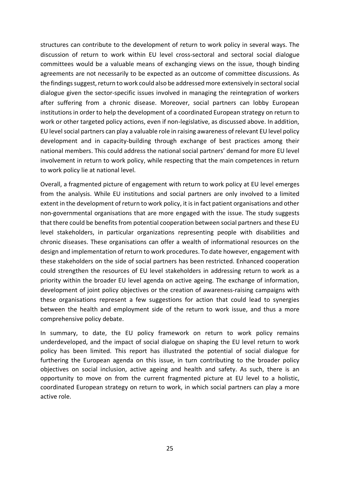structures can contribute to the development of return to work policy in several ways. The discussion of return to work within EU level cross-sectoral and sectoral social dialogue committees would be a valuable means of exchanging views on the issue, though binding agreements are not necessarily to be expected as an outcome of committee discussions. As the findings suggest, return to work could also be addressedmore extensively in sectoral social dialogue given the sector-specific issues involved in managing the reintegration of workers after suffering from a chronic disease. Moreover, social partners can lobby European institutions in order to help the development of a coordinated European strategy on return to work or other targeted policy actions, even if non-legislative, as discussed above. In addition, EU level social partners can play a valuable role in raising awareness of relevant EU level policy development and in capacity-building through exchange of best practices among their national members. This could address the national social partners' demand for more EU level involvement in return to work policy, while respecting that the main competences in return to work policy lie at national level.

Overall, a fragmented picture of engagement with return to work policy at EU level emerges from the analysis. While EU institutions and social partners are only involved to a limited extent in the development of return to work policy, it is in fact patient organisations and other non-governmental organisations that are more engaged with the issue. The study suggests that there could be benefits from potential cooperation between social partners and these EU level stakeholders, in particular organizations representing people with disabilities and chronic diseases. These organisations can offer a wealth of informational resources on the design and implementation of return to work procedures. To date however, engagement with these stakeholders on the side of social partners has been restricted. Enhanced cooperation could strengthen the resources of EU level stakeholders in addressing return to work as a priority within the broader EU level agenda on active ageing. The exchange of information, development of joint policy objectives or the creation of awareness-raising campaigns with these organisations represent a few suggestions for action that could lead to synergies between the health and employment side of the return to work issue, and thus a more comprehensive policy debate.

In summary, to date, the EU policy framework on return to work policy remains underdeveloped, and the impact of social dialogue on shaping the EU level return to work policy has been limited. This report has illustrated the potential of social dialogue for furthering the European agenda on this issue, in turn contributing to the broader policy objectives on social inclusion, active ageing and health and safety. As such, there is an opportunity to move on from the current fragmented picture at EU level to a holistic, coordinated European strategy on return to work, in which social partners can play a more active role.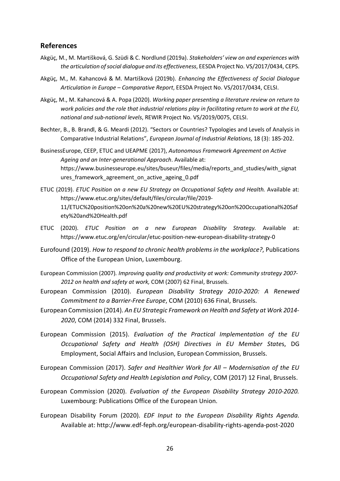#### <span id="page-25-0"></span>**References**

- Akgüç, M., M. Martišková, G. Szüdi & C. Nordlund (2019a). *Stakeholders' view on and experiences with the articulation of social dialogue and its effectiveness*, EESDA Project No. VS/2017/0434, CEPS.
- Akgüç, M., M. Kahancová & M. Martišková (2019b). *Enhancing the Effectiveness of Social Dialogue Articulation in Europe – Comparative Report*, EESDA Project No. VS/2017/0434, CELSI.
- Akgüç, M., M. Kahancová & A. Popa (2020). *Working paper presenting a literature review on return to work policies and the role that industrial relations play in facilitating return to work at the EU, national and sub-national levels*, REWIR Project No. VS/2019/0075, CELSI.
- Bechter, B., B. Brandl, & G. Meardi (2012). "Sectors or Countries? Typologies and Levels of Analysis in Comparative Industrial Relations", *European Journal of Industrial Relations*, 18 (3): 185-202.
- BusinessEurope, CEEP, ETUC and UEAPME (2017), *Autonomous Framework Agreement on Active Ageing and an Inter-generational Approach*. Available at: https://www.businesseurope.eu/sites/buseur/files/media/reports\_and\_studies/with\_signat ures\_framework\_agreement\_on\_active\_ageing\_0.pdf
- ETUC (2019). *ETUC Position on a new EU Strategy on Occupational Safety and Health.* Available at: https://www.etuc.org/sites/default/files/circular/file/2019- 11/ETUC%20position%20on%20a%20new%20EU%20strategy%20on%20Occupational%20Saf ety%20and%20Health.pdf
- ETUC (2020). *ETUC Position on a new European Disability Strategy.* Available at: https://www.etuc.org/en/circular/etuc-position-new-european-disability-strategy-0
- Eurofound (2019). *How to respond to chronic health problems in the workplace?*, Publications Office of the European Union, Luxembourg.
- European Commission (2007)*. Improving quality and productivity at work: Community strategy 2007- 2012 on health and safety at work,* COM (2007) 62 Final, Brussels.
- European Commission (2010). *European Disability Strategy 2010-2020: A Renewed Commitment to a Barrier-Free Europe*, COM (2010) 636 Final, Brussels.
- European Commission (2014). *An EU Strategic Framework on Health and Safety at Work 2014- 2020*, COM (2014) 332 Final, Brussels.
- European Commission (2015). *Evaluation of the Practical Implementation of the EU Occupational Safety and Health (OSH) Directives in EU Member State*s, DG Employment, Social Affairs and Inclusion, European Commission, Brussels.
- European Commission (2017). *Safer and Healthier Work for All – Modernisation of the EU Occupational Safety and Health Legislation and Policy*, COM (2017) 12 Final, Brussels.
- European Commission (2020). *Evaluation of the European Disability Strategy 2010-2020.*  Luxembourg: Publications Office of the European Union.
- European Disability Forum (2020). *EDF Input to the European Disability Rights Agenda*. Available at: http://www.edf-feph.org/european-disability-rights-agenda-post-2020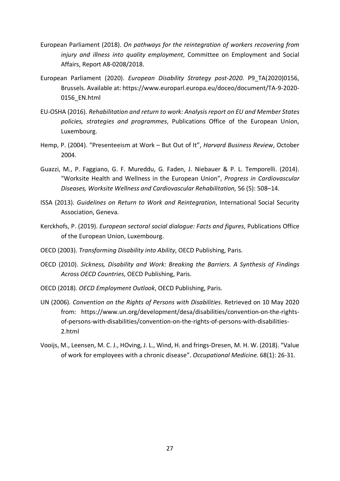- European Parliament (2018). *On pathways for the reintegration of workers recovering from injury and illness into quality employment*, Committee on Employment and Social Affairs, Report A8-0208/2018.
- European Parliament (2020). *European Disability Strategy post-2020.* P9\_TA(2020)0156, Brussels. Available at: https://www.europarl.europa.eu/doceo/document/TA-9-2020- 0156\_EN.html
- EU-OSHA (2016). *Rehabilitation and return to work: Analysis report on EU and Member States policies, strategies and programmes*, Publications Office of the European Union, Luxembourg.
- Hemp, P. (2004). "Presenteeism at Work But Out of It", *Harvard Business Review*, October 2004.
- Guazzi, M., P. Faggiano, G. F. Mureddu, G. Faden, J. Niebauer & P. L. Temporelli. (2014). "Worksite Health and Wellness in the European Union", *Progress in Cardiovascular Diseases, Worksite Wellness and Cardiovascular Rehabilitation,* 56 (5): 508–14.
- ISSA (2013). *Guidelines on Return to Work and Reintegration*, International Social Security Association, Geneva.
- Kerckhofs, P. (2019). *European sectoral social dialogue: Facts and figures*, Publications Office of the European Union, Luxembourg.
- OECD (2003). *Transforming Disability into Ability*, OECD Publishing, Paris.
- OECD (2010). *Sickness, Disability and Work: Breaking the Barriers. A Synthesis of Findings Across OECD Countries*, OECD Publishing, Paris.
- OECD (2018). *OECD Employment Outlook*, OECD Publishing, Paris.
- UN (2006). *Convention on the Rights of Persons with Disabilities*. Retrieved on 10 May 2020 from: https://www.un.org/development/desa/disabilities/convention-on-the-rightsof-persons-with-disabilities/convention-on-the-rights-of-persons-with-disabilities-2.html
- Vooijs, M., Leensen, M. C. J., HOving, J. L., Wind, H. and frings-Dresen, M. H. W. (2018). "Value of work for employees with a chronic disease". *Occupational Medicine.* 68(1): 26-31.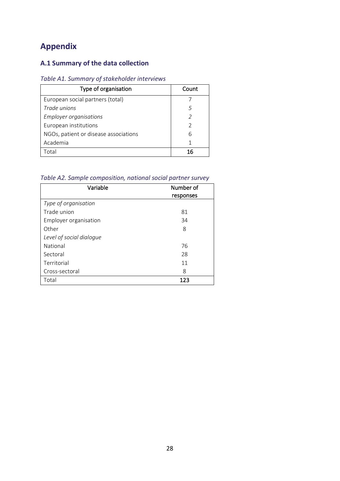# <span id="page-27-0"></span>**Appendix**

# <span id="page-27-1"></span>**A.1 Summary of the data collection**

#### <span id="page-27-2"></span>*Table A1. Summary of stakeholder interviews*

| Type of organisation                  | Count         |
|---------------------------------------|---------------|
| European social partners (total)      |               |
| Trade unions                          | 5             |
| <b>Employer organisations</b>         |               |
| European institutions                 | $\mathcal{D}$ |
| NGOs, patient or disease associations | 6             |
| Academia                              | 1             |
| intal.                                |               |

### <span id="page-27-3"></span>*Table A2. Sample composition, national social partner survey*

| Variable                 | Number of |
|--------------------------|-----------|
|                          | responses |
| Type of organisation     |           |
| Trade union              | 81        |
| Employer organisation    | 34        |
| Other                    | 8         |
| Level of social dialogue |           |
| National                 | 76        |
| Sectoral                 | 28        |
| Territorial              | 11        |
| Cross-sectoral           | 8         |
| Total                    | 123       |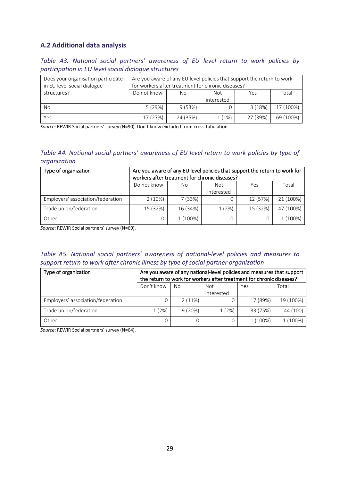### <span id="page-28-0"></span>**A.2 Additional data analysis**

<span id="page-28-1"></span>*Table A3. National social partners' awareness of EU level return to work policies by participation in EU level social dialogue structures*

| Does your organisation participate<br>in EU level social dialogue | for workers after treatment for chronic diseases? |          |                          | Are you aware of any EU level policies that support the return to work |           |
|-------------------------------------------------------------------|---------------------------------------------------|----------|--------------------------|------------------------------------------------------------------------|-----------|
| structures?                                                       | Do not know                                       | No       | <b>Not</b><br>interested | Yes                                                                    | Total     |
| No                                                                | 5(29%)                                            | 9(53%)   |                          | 3 (18%)                                                                | 17 (100%) |
| Yes                                                               | 17 (27%)                                          | 24 (35%) | 1(1%)                    | 27 (39%)                                                               | 69 (100%) |

*Source*: REWIR Social partners' survey (N=90). Don't know excluded from cross-tabulation.

#### <span id="page-28-2"></span>*Table A4. National social partners' awareness of EU level return to work policies by type of organization*

| Type of organization              | Are you aware of any EU level policies that support the return to work for<br>workers after treatment for chronic diseases? |          |            |          |           |
|-----------------------------------|-----------------------------------------------------------------------------------------------------------------------------|----------|------------|----------|-----------|
|                                   | Do not know                                                                                                                 | No.      | Not        | Yes      | Total     |
|                                   |                                                                                                                             |          | interested |          |           |
| Employers' association/federation | 2(10%)                                                                                                                      | 7 (33%)  | 0          | 12 (57%) | 21 (100%) |
| Trade union/federation            | 15 (32%)                                                                                                                    | 16 (34%) | 1(2%)      | 15 (32%) | 47 (100%) |
| Other                             | 0                                                                                                                           | 1 (100%) | 0          | 0        | 1 (100%)  |

*Source*: REWIR Social partners' survey (N=69).

#### <span id="page-28-3"></span>*Table A5. National social partners' awareness of national-level policies and measures to support return to work after chronic illness by type of social partner organization*

| Type of organization              | Are you aware of any national-level policies and measures that support<br>the return to work for workers after treatment for chronic diseases? |        |            |          |           |  |
|-----------------------------------|------------------------------------------------------------------------------------------------------------------------------------------------|--------|------------|----------|-----------|--|
|                                   | Don't know                                                                                                                                     | No     | <b>Not</b> | Yes      | Total     |  |
|                                   |                                                                                                                                                |        | interested |          |           |  |
| Employers' association/federation |                                                                                                                                                | 2(11%) |            | 17 (89%) | 19 (100%) |  |
| Trade union/federation            | 1(2%)                                                                                                                                          | 9(20%) | 1(2%)      | 33 (75%) | 44 (100)  |  |
| Other                             |                                                                                                                                                | 0      | 0          | 1 (100%) | 1 (100%)  |  |

*Source*: REWIR Social partners' survey (N=64).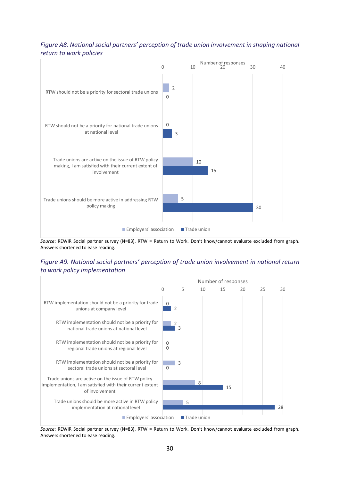#### <span id="page-29-0"></span>*Figure A8. National social partners' perception of trade union involvement in shaping national return to work policies*



*Source*: REWIR Social partner survey (N=83). RTW = Return to Work. Don't know/cannot evaluate excluded from graph. Answers shortened to ease reading.

#### <span id="page-29-1"></span>*Figure A9. National social partners' perception of trade union involvement in national return to work policy implementation*



*Source*: REWIR Social partner survey (N=83). RTW = Return to Work. Don't know/cannot evaluate excluded from graph. Answers shortened to ease reading.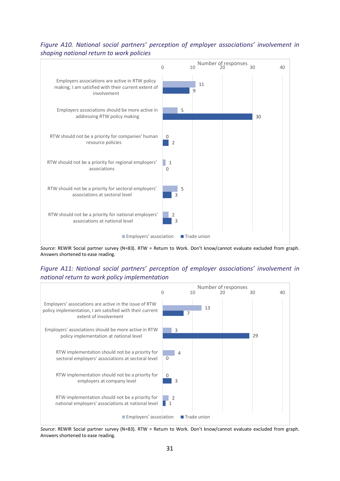#### <span id="page-30-0"></span>*Figure A10. National social partners' perception of employer associations' involvement in shaping national return to work policies*



*Source*: REWIR Social partner survey (N=83). RTW = Return to Work. Don't know/cannot evaluate excluded from graph. Answers shortened to ease reading.

#### <span id="page-30-1"></span>*Figure A11: National social partners' perception of employer associations' involvement in national return to work policy implementation*



*Source*: REWIR Social partner survey (N=83). RTW = Return to Work. Don't know/cannot evaluate excluded from graph. Answers shortened to ease reading.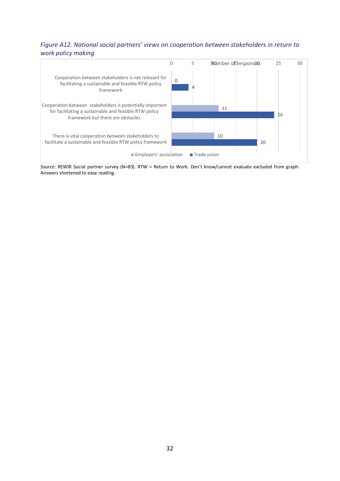#### <span id="page-31-0"></span>*Figure A12. National social partners' views on cooperation between stakeholders in return to work policy making*



*Source*: REWIR Social partner survey (N=83). RTW = Return to Work. Don't know/cannot evaluate excluded from graph. Answers shortened to ease reading.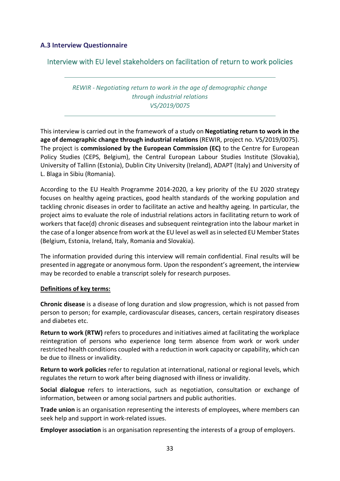#### <span id="page-32-0"></span>**A.3 Interview Questionnaire**

### Interview with EU level stakeholders on facilitation of return to work policies

### *REWIR - Negotiating return to work in the age of demographic change through industrial relations VS/2019/0075*

This interview is carried out in the framework of a study on **Negotiating return to work in the age of demographic change through industrial relations** (REWIR, project no. VS/2019/0075). The project is **commissioned by the European Commission (EC)** to the Centre for European Policy Studies (CEPS, Belgium), the Central European Labour Studies Institute (Slovakia), University of Tallinn (Estonia), Dublin City University (Ireland), ADAPT (Italy) and University of L. Blaga in Sibiu (Romania).

According to the EU Health Programme 2014-2020, a key priority of the EU 2020 strategy focuses on healthy ageing practices, good health standards of the working population and tackling chronic diseases in order to facilitate an active and healthy ageing. In particular, the project aims to evaluate the role of industrial relations actors in facilitating return to work of workers that face(d) chronic diseases and subsequent reintegration into the labour market in the case of a longer absence from work at the EU level as well as in selected EU Member States (Belgium, Estonia, Ireland, Italy, Romania and Slovakia).

The information provided during this interview will remain confidential. Final results will be presented in aggregate or anonymous form. Upon the respondent's agreement, the interview may be recorded to enable a transcript solely for research purposes.

#### **Definitions of key terms:**

**Chronic disease** is a disease of long duration and slow progression, which is not passed from person to person; for example, cardiovascular diseases, cancers, certain respiratory diseases and diabetes etc.

**Return to work (RTW)** refers to procedures and initiatives aimed at facilitating the workplace reintegration of persons who experience long term absence from work or work under restricted health conditions coupled with a reduction in work capacity or capability, which can be due to illness or invalidity.

**Return to work policies** refer to regulation at international, national or regional levels, which regulates the return to work after being diagnosed with illness or invalidity.

**Social dialogue** refers to interactions, such as negotiation, consultation or exchange of information, between or among social partners and public authorities.

**Trade union** is an organisation representing the interests of employees, where members can seek help and support in work-related issues.

**Employer association** is an organisation representing the interests of a group of employers.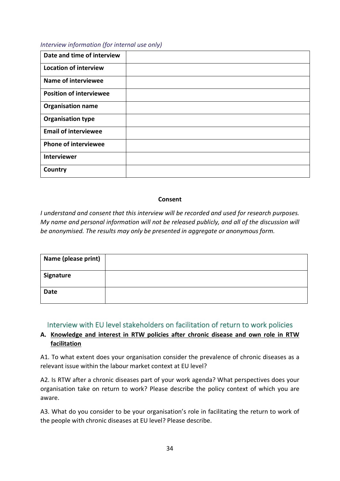#### *Interview information (for internal use only)*

| Date and time of interview     |  |
|--------------------------------|--|
| <b>Location of interview</b>   |  |
| <b>Name of interviewee</b>     |  |
| <b>Position of interviewee</b> |  |
| <b>Organisation name</b>       |  |
| <b>Organisation type</b>       |  |
| <b>Email of interviewee</b>    |  |
| <b>Phone of interviewee</b>    |  |
| <b>Interviewer</b>             |  |
| Country                        |  |

#### **Consent**

*I understand and consent that this interview will be recorded and used for research purposes. My name and personal information will not be released publicly, and all of the discussion will be anonymised. The results may only be presented in aggregate or anonymous form.*

| Name (please print) |  |
|---------------------|--|
| Signature           |  |
| Date                |  |

### Interview with EU level stakeholders on facilitation of return to work policies

# **A. Knowledge and interest in RTW policies after chronic disease and own role in RTW facilitation**

A1. To what extent does your organisation consider the prevalence of chronic diseases as a relevant issue within the labour market context at EU level?

A2. Is RTW after a chronic diseases part of your work agenda? What perspectives does your organisation take on return to work? Please describe the policy context of which you are aware.

A3. What do you consider to be your organisation's role in facilitating the return to work of the people with chronic diseases at EU level? Please describe.